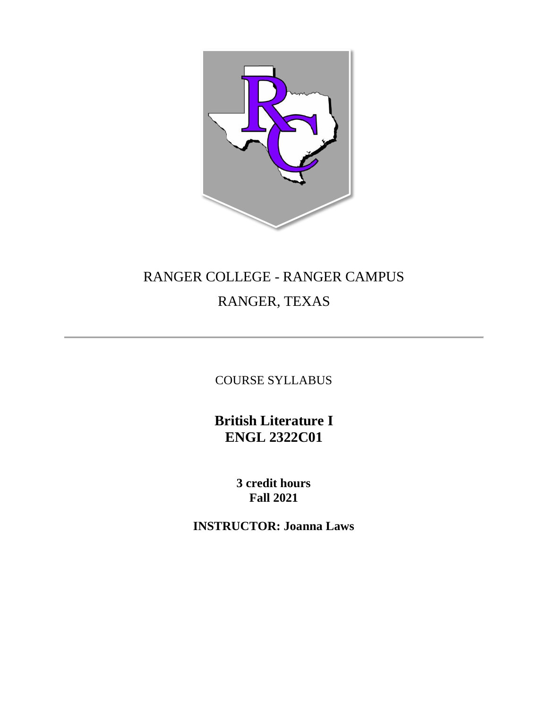

# RANGER COLLEGE - RANGER CAMPUS RANGER, TEXAS

COURSE SYLLABUS

**British Literature I ENGL 2322C01**

> **3 credit hours Fall 2021**

**INSTRUCTOR: Joanna Laws**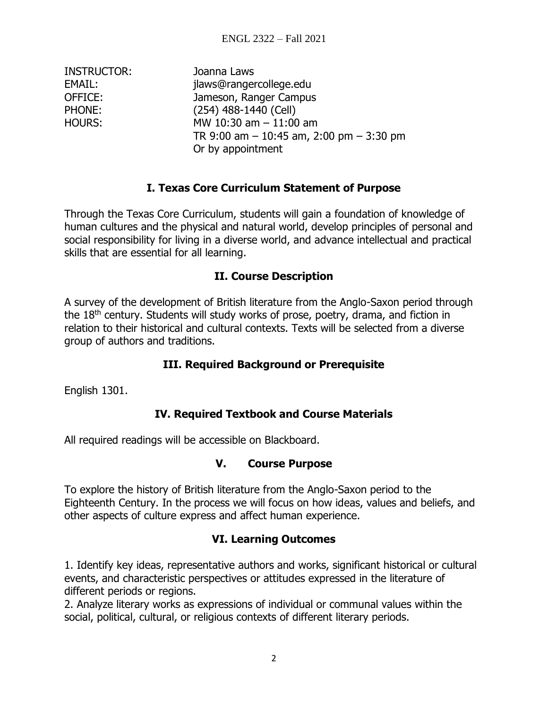| Joanna Laws                                  |
|----------------------------------------------|
| jlaws@rangercollege.edu                      |
| Jameson, Ranger Campus                       |
| (254) 488-1440 (Cell)                        |
| MW 10:30 am $-$ 11:00 am                     |
| TR 9:00 am $-$ 10:45 am, 2:00 pm $-$ 3:30 pm |
| Or by appointment                            |
|                                              |

# **I. Texas Core Curriculum Statement of Purpose**

Through the Texas Core Curriculum, students will gain a foundation of knowledge of human cultures and the physical and natural world, develop principles of personal and social responsibility for living in a diverse world, and advance intellectual and practical skills that are essential for all learning.

## **II. Course Description**

A survey of the development of British literature from the Anglo-Saxon period through the 18<sup>th</sup> century. Students will study works of prose, poetry, drama, and fiction in relation to their historical and cultural contexts. Texts will be selected from a diverse group of authors and traditions.

# **III. Required Background or Prerequisite**

English 1301.

# **IV. Required Textbook and Course Materials**

All required readings will be accessible on Blackboard.

#### **V. Course Purpose**

To explore the history of British literature from the Anglo-Saxon period to the Eighteenth Century. In the process we will focus on how ideas, values and beliefs, and other aspects of culture express and affect human experience.

# **VI. Learning Outcomes**

1. Identify key ideas, representative authors and works, significant historical or cultural events, and characteristic perspectives or attitudes expressed in the literature of different periods or regions.

2. Analyze literary works as expressions of individual or communal values within the social, political, cultural, or religious contexts of different literary periods.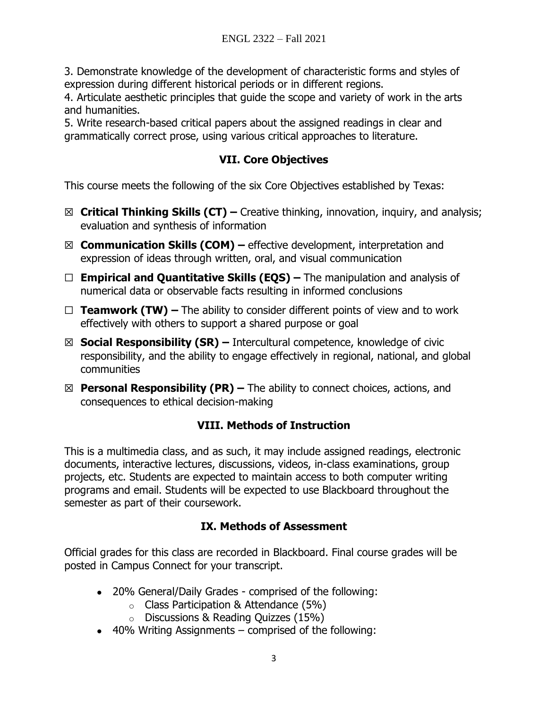3. Demonstrate knowledge of the development of characteristic forms and styles of expression during different historical periods or in different regions.

4. Articulate aesthetic principles that guide the scope and variety of work in the arts and humanities.

5. Write research-based critical papers about the assigned readings in clear and grammatically correct prose, using various critical approaches to literature.

# **VII. Core Objectives**

This course meets the following of the six Core Objectives established by Texas:

- ☒ **Critical Thinking Skills (CT) –** Creative thinking, innovation, inquiry, and analysis; evaluation and synthesis of information
- ☒ **Communication Skills (COM) –** effective development, interpretation and expression of ideas through written, oral, and visual communication
- ☐ **Empirical and Quantitative Skills (EQS) –** The manipulation and analysis of numerical data or observable facts resulting in informed conclusions
- ☐ **Teamwork (TW) –** The ability to consider different points of view and to work effectively with others to support a shared purpose or goal
- ☒ **Social Responsibility (SR) –** Intercultural competence, knowledge of civic responsibility, and the ability to engage effectively in regional, national, and global communities
- ☒ **Personal Responsibility (PR) –** The ability to connect choices, actions, and consequences to ethical decision-making

# **VIII. Methods of Instruction**

This is a multimedia class, and as such, it may include assigned readings, electronic documents, interactive lectures, discussions, videos, in-class examinations, group projects, etc. Students are expected to maintain access to both computer writing programs and email. Students will be expected to use Blackboard throughout the semester as part of their coursework.

# **IX. Methods of Assessment**

Official grades for this class are recorded in Blackboard. Final course grades will be posted in Campus Connect for your transcript.

- 20% General/Daily Grades comprised of the following:
	- o Class Participation & Attendance (5%)
	- o Discussions & Reading Quizzes (15%)
- $\bullet$  40% Writing Assignments comprised of the following: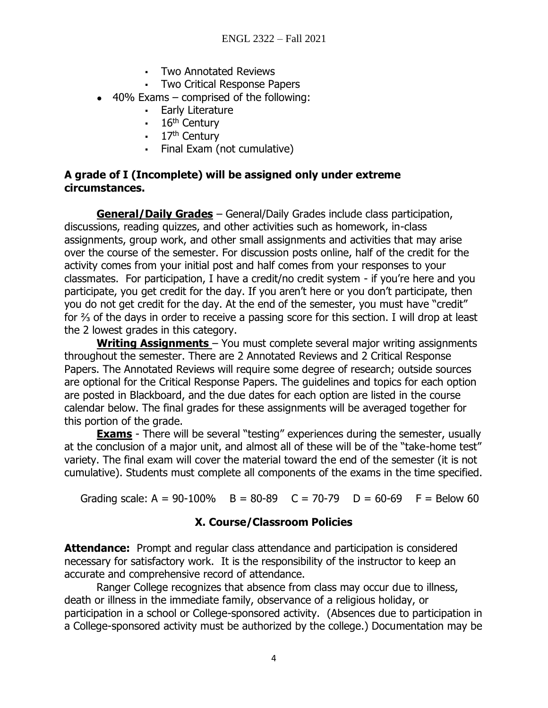- Two Annotated Reviews
- Two Critical Response Papers
- $\bullet$  40% Exams comprised of the following:
	- Early Literature
	- $\cdot$  16<sup>th</sup> Century
	- $\cdot$  17<sup>th</sup> Century
	- Final Exam (not cumulative)

#### **A grade of I (Incomplete) will be assigned only under extreme circumstances.**

**General/Daily Grades** – General/Daily Grades include class participation, discussions, reading quizzes, and other activities such as homework, in-class assignments, group work, and other small assignments and activities that may arise over the course of the semester. For discussion posts online, half of the credit for the activity comes from your initial post and half comes from your responses to your classmates. For participation, I have a credit/no credit system - if you're here and you participate, you get credit for the day. If you aren't here or you don't participate, then you do not get credit for the day. At the end of the semester, you must have "credit" for % of the days in order to receive a passing score for this section. I will drop at least the 2 lowest grades in this category.

**Writing Assignments** – You must complete several major writing assignments throughout the semester. There are 2 Annotated Reviews and 2 Critical Response Papers. The Annotated Reviews will require some degree of research; outside sources are optional for the Critical Response Papers. The guidelines and topics for each option are posted in Blackboard, and the due dates for each option are listed in the course calendar below. The final grades for these assignments will be averaged together for this portion of the grade.

**Exams** - There will be several "testing" experiences during the semester, usually at the conclusion of a major unit, and almost all of these will be of the "take-home test" variety. The final exam will cover the material toward the end of the semester (it is not cumulative). Students must complete all components of the exams in the time specified.

Grading scale:  $A = 90-100\%$  B = 80-89 C = 70-79 D = 60-69 F = Below 60

# **X. Course/Classroom Policies**

**Attendance:** Prompt and regular class attendance and participation is considered necessary for satisfactory work. It is the responsibility of the instructor to keep an accurate and comprehensive record of attendance.

Ranger College recognizes that absence from class may occur due to illness, death or illness in the immediate family, observance of a religious holiday, or participation in a school or College-sponsored activity. (Absences due to participation in a College-sponsored activity must be authorized by the college.) Documentation may be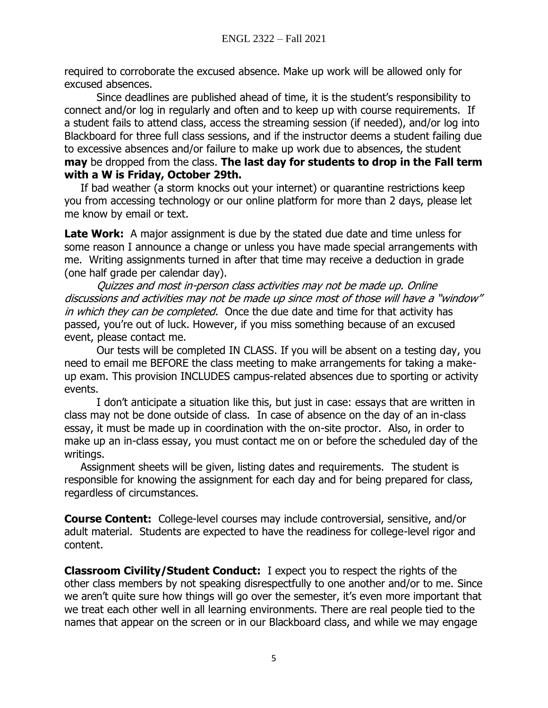required to corroborate the excused absence. Make up work will be allowed only for excused absences.

Since deadlines are published ahead of time, it is the student's responsibility to connect and/or log in regularly and often and to keep up with course requirements. If a student fails to attend class, access the streaming session (if needed), and/or log into Blackboard for three full class sessions, and if the instructor deems a student failing due to excessive absences and/or failure to make up work due to absences, the student **may** be dropped from the class. **The last day for students to drop in the Fall term with a W is Friday, October 29th.**

If bad weather (a storm knocks out your internet) or quarantine restrictions keep you from accessing technology or our online platform for more than 2 days, please let me know by email or text.

**Late Work:** A major assignment is due by the stated due date and time unless for some reason I announce a change or unless you have made special arrangements with me. Writing assignments turned in after that time may receive a deduction in grade (one half grade per calendar day).

Quizzes and most in-person class activities may not be made up. Online discussions and activities may not be made up since most of those will have a "window" in which they can be completed. Once the due date and time for that activity has passed, you're out of luck. However, if you miss something because of an excused event, please contact me.

Our tests will be completed IN CLASS. If you will be absent on a testing day, you need to email me BEFORE the class meeting to make arrangements for taking a makeup exam. This provision INCLUDES campus-related absences due to sporting or activity events.

I don't anticipate a situation like this, but just in case: essays that are written in class may not be done outside of class. In case of absence on the day of an in-class essay, it must be made up in coordination with the on-site proctor. Also, in order to make up an in-class essay, you must contact me on or before the scheduled day of the writings.

Assignment sheets will be given, listing dates and requirements. The student is responsible for knowing the assignment for each day and for being prepared for class, regardless of circumstances.

**Course Content:** College-level courses may include controversial, sensitive, and/or adult material. Students are expected to have the readiness for college-level rigor and content.

**Classroom Civility/Student Conduct:** I expect you to respect the rights of the other class members by not speaking disrespectfully to one another and/or to me. Since we aren't quite sure how things will go over the semester, it's even more important that we treat each other well in all learning environments. There are real people tied to the names that appear on the screen or in our Blackboard class, and while we may engage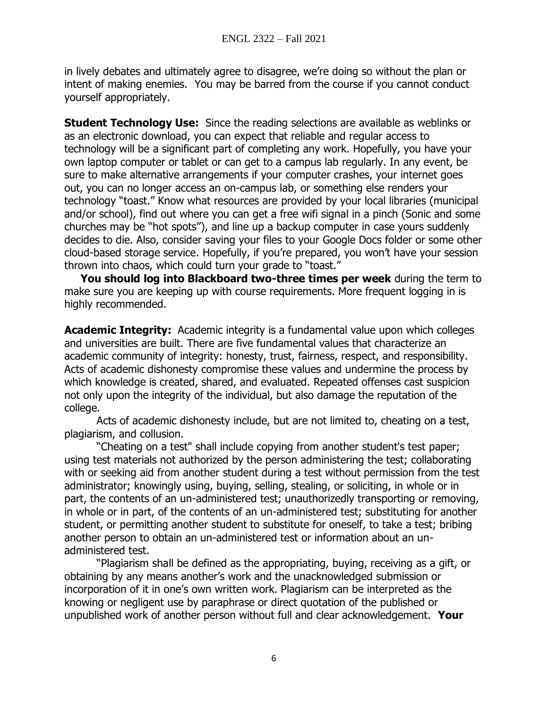in lively debates and ultimately agree to disagree, we're doing so without the plan or intent of making enemies. You may be barred from the course if you cannot conduct yourself appropriately.

**Student Technology Use:** Since the reading selections are available as weblinks or as an electronic download, you can expect that reliable and regular access to technology will be a significant part of completing any work. Hopefully, you have your own laptop computer or tablet or can get to a campus lab regularly. In any event, be sure to make alternative arrangements if your computer crashes, your internet goes out, you can no longer access an on-campus lab, or something else renders your technology "toast." Know what resources are provided by your local libraries (municipal and/or school), find out where you can get a free wifi signal in a pinch (Sonic and some churches may be "hot spots"), and line up a backup computer in case yours suddenly decides to die. Also, consider saving your files to your Google Docs folder or some other cloud-based storage service. Hopefully, if you're prepared, you won't have your session thrown into chaos, which could turn your grade to "toast."

**You should log into Blackboard two-three times per week** during the term to make sure you are keeping up with course requirements. More frequent logging in is highly recommended.

**Academic Integrity:** Academic integrity is a fundamental value upon which colleges and universities are built. There are five fundamental values that characterize an academic community of integrity: honesty, trust, fairness, respect, and responsibility. Acts of academic dishonesty compromise these values and undermine the process by which knowledge is created, shared, and evaluated. Repeated offenses cast suspicion not only upon the integrity of the individual, but also damage the reputation of the college.

Acts of academic dishonesty include, but are not limited to, cheating on a test, plagiarism, and collusion.

"Cheating on a test" shall include copying from another student's test paper; using test materials not authorized by the person administering the test; collaborating with or seeking aid from another student during a test without permission from the test administrator; knowingly using, buying, selling, stealing, or soliciting, in whole or in part, the contents of an un-administered test; unauthorizedly transporting or removing, in whole or in part, of the contents of an un-administered test; substituting for another student, or permitting another student to substitute for oneself, to take a test; bribing another person to obtain an un-administered test or information about an unadministered test.

"Plagiarism shall be defined as the appropriating, buying, receiving as a gift, or obtaining by any means another's work and the unacknowledged submission or incorporation of it in one's own written work. Plagiarism can be interpreted as the knowing or negligent use by paraphrase or direct quotation of the published or unpublished work of another person without full and clear acknowledgement. **Your**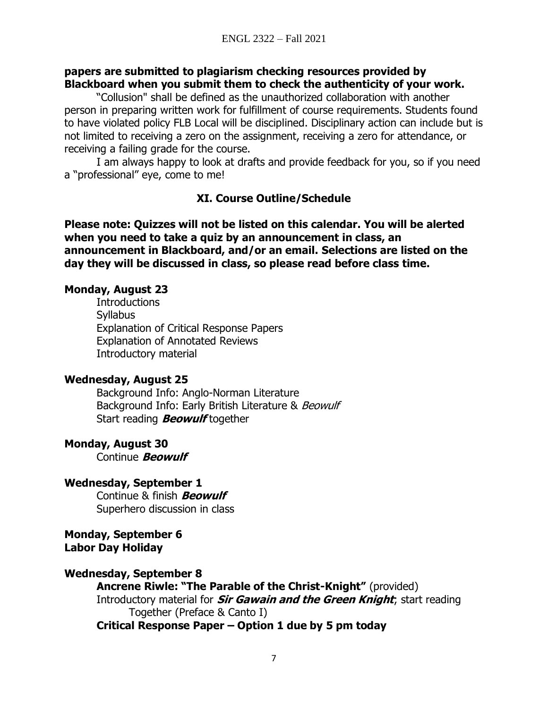#### **papers are submitted to plagiarism checking resources provided by Blackboard when you submit them to check the authenticity of your work.**

"Collusion" shall be defined as the unauthorized collaboration with another person in preparing written work for fulfillment of course requirements. Students found to have violated policy FLB Local will be disciplined. Disciplinary action can include but is not limited to receiving a zero on the assignment, receiving a zero for attendance, or receiving a failing grade for the course.

I am always happy to look at drafts and provide feedback for you, so if you need a "professional" eye, come to me!

## **XI. Course Outline/Schedule**

**Please note: Quizzes will not be listed on this calendar. You will be alerted when you need to take a quiz by an announcement in class, an announcement in Blackboard, and/or an email. Selections are listed on the day they will be discussed in class, so please read before class time.**

#### **Monday, August 23**

**Introductions Syllabus** Explanation of Critical Response Papers Explanation of Annotated Reviews Introductory material

#### **Wednesday, August 25**

Background Info: Anglo-Norman Literature Background Info: Early British Literature & Beowulf Start reading **Beowulf** together

#### **Monday, August 30**

Continue **Beowulf**

**Wednesday, September 1** Continue & finish **Beowulf** Superhero discussion in class

**Monday, September 6 Labor Day Holiday**

#### **Wednesday, September 8**

**Ancrene Riwle: "The Parable of the Christ-Knight"** (provided) Introductory material for **Sir Gawain and the Green Knight**; start reading Together (Preface & Canto I)

**Critical Response Paper – Option 1 due by 5 pm today**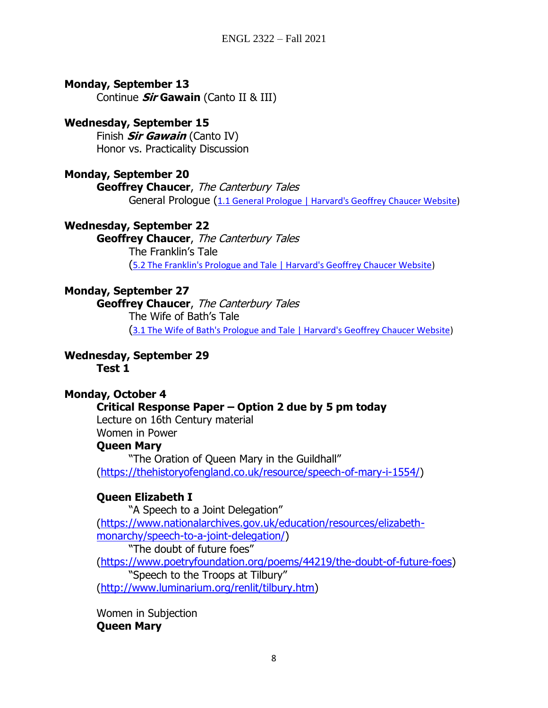## **Monday, September 13**

Continue **Sir Gawain** (Canto II & III)

### **Wednesday, September 15**

Finish **Sir Gawain** (Canto IV) Honor vs. Practicality Discussion

## **Monday, September 20**

**Geoffrey Chaucer**, The Canterbury Tales General Prologue ([1.1 General Prologue | Harvard's Geoffrey Chaucer Website\)](https://chaucer.fas.harvard.edu/pages/general-prologue-0)

**Wednesday, September 22**

**Geoffrey Chaucer**, The Canterbury Tales The Franklin's Tale ([5.2 The Franklin's Prologue and Tale | Harvard's Geoffrey Chaucer Website\)](https://chaucer.fas.harvard.edu/pages/franklins-prologue-and-tale)

# **Monday, September 27**

**Geoffrey Chaucer**, The Canterbury Tales The Wife of Bath's Tale ([3.1 The Wife of Bath's Prologue and Tale | Harvard's Geoffrey Chaucer Website\)](https://chaucer.fas.harvard.edu/pages/wife-baths-prologue-and-tale-0)

**Wednesday, September 29**

**Test 1**

# **Monday, October 4**

#### **Critical Response Paper – Option 2 due by 5 pm today**

Lecture on 16th Century material

Women in Power

#### **Queen Mary**

"The Oration of Queen Mary in the Guildhall" [\(https://thehistoryofengland.co.uk/resource/speech-of-mary-i-1554/\)](https://thehistoryofengland.co.uk/resource/speech-of-mary-i-1554/)

# **Queen Elizabeth I**

"A Speech to a Joint Delegation" [\(https://www.nationalarchives.gov.uk/education/resources/elizabeth](https://www.nationalarchives.gov.uk/education/resources/elizabeth-monarchy/speech-to-a-joint-delegation/)[monarchy/speech-to-a-joint-delegation/\)](https://www.nationalarchives.gov.uk/education/resources/elizabeth-monarchy/speech-to-a-joint-delegation/) "The doubt of future foes" [\(https://www.poetryfoundation.org/poems/44219/the-doubt-of-future-foes\)](https://www.poetryfoundation.org/poems/44219/the-doubt-of-future-foes) "Speech to the Troops at Tilbury" [\(http://www.luminarium.org/renlit/tilbury.htm\)](http://www.luminarium.org/renlit/tilbury.htm)

Women in Subjection **Queen Mary**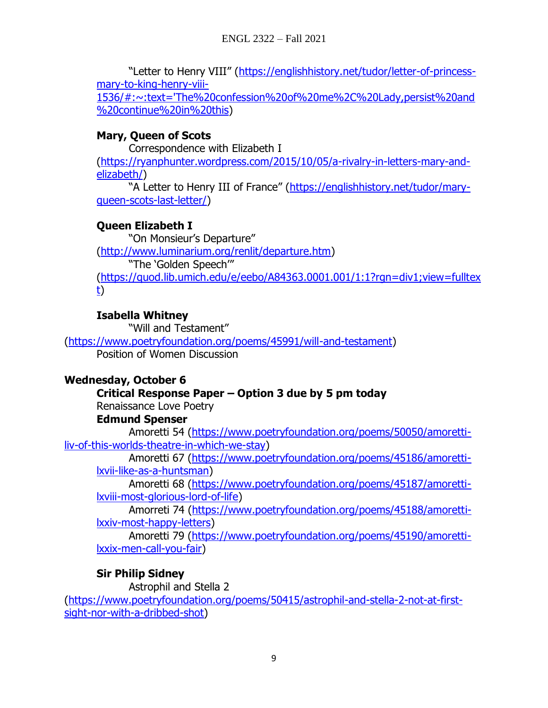"Letter to Henry VIII" ([https://englishhistory.net/tudor/letter-of-princess](https://englishhistory.net/tudor/letter-of-princess-mary-to-king-henry-viii-1536/#:~:text=)[mary-to-king-henry-viii-](https://englishhistory.net/tudor/letter-of-princess-mary-to-king-henry-viii-1536/#:~:text=)

[1536/#:~:text='The%20confession%20of%20me%2C%20Lady,persist%20and](https://englishhistory.net/tudor/letter-of-princess-mary-to-king-henry-viii-1536/#:~:text=) [%20continue%20in%20this\)](https://englishhistory.net/tudor/letter-of-princess-mary-to-king-henry-viii-1536/#:~:text=)

# **Mary, Queen of Scots**

Correspondence with Elizabeth I [\(https://ryanphunter.wordpress.com/2015/10/05/a-rivalry-in-letters-mary-and](https://ryanphunter.wordpress.com/2015/10/05/a-rivalry-in-letters-mary-and-elizabeth/)[elizabeth/\)](https://ryanphunter.wordpress.com/2015/10/05/a-rivalry-in-letters-mary-and-elizabeth/)

"A Letter to Henry III of France" ([https://englishhistory.net/tudor/mary](https://englishhistory.net/tudor/mary-queen-scots-last-letter/)[queen-scots-last-letter/\)](https://englishhistory.net/tudor/mary-queen-scots-last-letter/)

# **Queen Elizabeth I**

"On Monsieur's Departure" [\(http://www.luminarium.org/renlit/departure.htm\)](http://www.luminarium.org/renlit/departure.htm) "The 'Golden Speech'" [\(https://quod.lib.umich.edu/e/eebo/A84363.0001.001/1:1?rgn=div1;view=fulltex](https://quod.lib.umich.edu/e/eebo/A84363.0001.001/1:1?rgn=div1;view=fulltext) [t\)](https://quod.lib.umich.edu/e/eebo/A84363.0001.001/1:1?rgn=div1;view=fulltext)

# **Isabella Whitney**

"Will and Testament" [\(https://www.poetryfoundation.org/poems/45991/will-and-testament\)](https://www.poetryfoundation.org/poems/45991/will-and-testament) Position of Women Discussion

# **Wednesday, October 6**

# **Critical Response Paper – Option 3 due by 5 pm today**

Renaissance Love Poetry

# **Edmund Spenser**

Amoretti 54 [\(https://www.poetryfoundation.org/poems/50050/amoretti](https://www.poetryfoundation.org/poems/50050/amoretti-liv-of-this-worlds-theatre-in-which-we-stay)[liv-of-this-worlds-theatre-in-which-we-stay\)](https://www.poetryfoundation.org/poems/50050/amoretti-liv-of-this-worlds-theatre-in-which-we-stay)

Amoretti 67 [\(https://www.poetryfoundation.org/poems/45186/amoretti](https://www.poetryfoundation.org/poems/45186/amoretti-lxvii-like-as-a-huntsman)[lxvii-like-as-a-huntsman\)](https://www.poetryfoundation.org/poems/45186/amoretti-lxvii-like-as-a-huntsman)

Amoretti 68 [\(https://www.poetryfoundation.org/poems/45187/amoretti](https://www.poetryfoundation.org/poems/45187/amoretti-lxviii-most-glorious-lord-of-life)[lxviii-most-glorious-lord-of-life\)](https://www.poetryfoundation.org/poems/45187/amoretti-lxviii-most-glorious-lord-of-life)

Amorreti 74 [\(https://www.poetryfoundation.org/poems/45188/amoretti](https://www.poetryfoundation.org/poems/45188/amoretti-lxxiv-most-happy-letters)[lxxiv-most-happy-letters\)](https://www.poetryfoundation.org/poems/45188/amoretti-lxxiv-most-happy-letters)

Amoretti 79 [\(https://www.poetryfoundation.org/poems/45190/amoretti](https://www.poetryfoundation.org/poems/45190/amoretti-lxxix-men-call-you-fair)[lxxix-men-call-you-fair\)](https://www.poetryfoundation.org/poems/45190/amoretti-lxxix-men-call-you-fair)

# **Sir Philip Sidney**

Astrophil and Stella 2 [\(https://www.poetryfoundation.org/poems/50415/astrophil-and-stella-2-not-at-first](https://www.poetryfoundation.org/poems/50415/astrophil-and-stella-2-not-at-first-sight-nor-with-a-dribbed-shot)[sight-nor-with-a-dribbed-shot\)](https://www.poetryfoundation.org/poems/50415/astrophil-and-stella-2-not-at-first-sight-nor-with-a-dribbed-shot)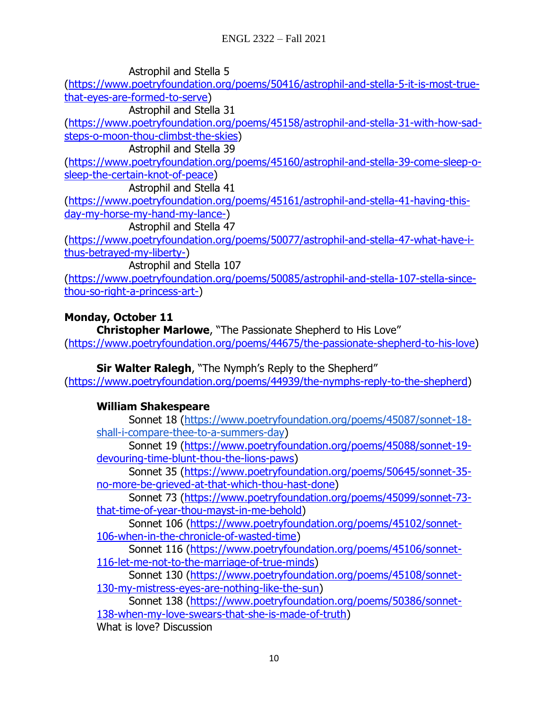Astrophil and Stella 5

[\(https://www.poetryfoundation.org/poems/50416/astrophil-and-stella-5-it-is-most-true](https://www.poetryfoundation.org/poems/50416/astrophil-and-stella-5-it-is-most-true-that-eyes-are-formed-to-serve)[that-eyes-are-formed-to-serve\)](https://www.poetryfoundation.org/poems/50416/astrophil-and-stella-5-it-is-most-true-that-eyes-are-formed-to-serve)

Astrophil and Stella 31

[\(https://www.poetryfoundation.org/poems/45158/astrophil-and-stella-31-with-how-sad](https://www.poetryfoundation.org/poems/45158/astrophil-and-stella-31-with-how-sad-steps-o-moon-thou-climbst-the-skies)[steps-o-moon-thou-climbst-the-skies\)](https://www.poetryfoundation.org/poems/45158/astrophil-and-stella-31-with-how-sad-steps-o-moon-thou-climbst-the-skies)

Astrophil and Stella 39

[\(https://www.poetryfoundation.org/poems/45160/astrophil-and-stella-39-come-sleep-o](https://www.poetryfoundation.org/poems/45160/astrophil-and-stella-39-come-sleep-o-sleep-the-certain-knot-of-peace)[sleep-the-certain-knot-of-peace\)](https://www.poetryfoundation.org/poems/45160/astrophil-and-stella-39-come-sleep-o-sleep-the-certain-knot-of-peace)

Astrophil and Stella 41

[\(https://www.poetryfoundation.org/poems/45161/astrophil-and-stella-41-having-this](https://www.poetryfoundation.org/poems/45161/astrophil-and-stella-41-having-this-day-my-horse-my-hand-my-lance-)[day-my-horse-my-hand-my-lance-\)](https://www.poetryfoundation.org/poems/45161/astrophil-and-stella-41-having-this-day-my-horse-my-hand-my-lance-)

Astrophil and Stella 47

[\(https://www.poetryfoundation.org/poems/50077/astrophil-and-stella-47-what-have-i](https://www.poetryfoundation.org/poems/50077/astrophil-and-stella-47-what-have-i-thus-betrayed-my-liberty-)[thus-betrayed-my-liberty-\)](https://www.poetryfoundation.org/poems/50077/astrophil-and-stella-47-what-have-i-thus-betrayed-my-liberty-)

Astrophil and Stella 107

[\(https://www.poetryfoundation.org/poems/50085/astrophil-and-stella-107-stella-since](https://www.poetryfoundation.org/poems/50085/astrophil-and-stella-107-stella-since-thou-so-right-a-princess-art-)[thou-so-right-a-princess-art-\)](https://www.poetryfoundation.org/poems/50085/astrophil-and-stella-107-stella-since-thou-so-right-a-princess-art-)

# **Monday, October 11**

**Christopher Marlowe**, "The Passionate Shepherd to His Love" [\(https://www.poetryfoundation.org/poems/44675/the-passionate-shepherd-to-his-love\)](https://www.poetryfoundation.org/poems/44675/the-passionate-shepherd-to-his-love)

**Sir Walter Ralegh**, "The Nymph's Reply to the Shepherd" [\(https://www.poetryfoundation.org/poems/44939/the-nymphs-reply-to-the-shepherd\)](https://www.poetryfoundation.org/poems/44939/the-nymphs-reply-to-the-shepherd)

# **William Shakespeare**

Sonnet 18 [\(https://www.poetryfoundation.org/poems/45087/sonnet-18](https://www.poetryfoundation.org/poems/45087/sonnet-18-shall-i-compare-thee-to-a-summers-day) [shall-i-compare-thee-to-a-summers-day\)](https://www.poetryfoundation.org/poems/45087/sonnet-18-shall-i-compare-thee-to-a-summers-day)

Sonnet 19 [\(https://www.poetryfoundation.org/poems/45088/sonnet-19](https://www.poetryfoundation.org/poems/45088/sonnet-19-devouring-time-blunt-thou-the-lions-paws) [devouring-time-blunt-thou-the-lions-paws\)](https://www.poetryfoundation.org/poems/45088/sonnet-19-devouring-time-blunt-thou-the-lions-paws)

Sonnet 35 [\(https://www.poetryfoundation.org/poems/50645/sonnet-35](https://www.poetryfoundation.org/poems/50645/sonnet-35-no-more-be-grieved-at-that-which-thou-hast-done) [no-more-be-grieved-at-that-which-thou-hast-done\)](https://www.poetryfoundation.org/poems/50645/sonnet-35-no-more-be-grieved-at-that-which-thou-hast-done)

Sonnet 73 [\(https://www.poetryfoundation.org/poems/45099/sonnet-73](https://www.poetryfoundation.org/poems/45099/sonnet-73-that-time-of-year-thou-mayst-in-me-behold) [that-time-of-year-thou-mayst-in-me-behold\)](https://www.poetryfoundation.org/poems/45099/sonnet-73-that-time-of-year-thou-mayst-in-me-behold)

Sonnet 106 [\(https://www.poetryfoundation.org/poems/45102/sonnet-](https://www.poetryfoundation.org/poems/45102/sonnet-106-when-in-the-chronicle-of-wasted-time)[106-when-in-the-chronicle-of-wasted-time\)](https://www.poetryfoundation.org/poems/45102/sonnet-106-when-in-the-chronicle-of-wasted-time)

Sonnet 116 [\(https://www.poetryfoundation.org/poems/45106/sonnet-](https://www.poetryfoundation.org/poems/45106/sonnet-116-let-me-not-to-the-marriage-of-true-minds)[116-let-me-not-to-the-marriage-of-true-minds\)](https://www.poetryfoundation.org/poems/45106/sonnet-116-let-me-not-to-the-marriage-of-true-minds)

Sonnet 130 [\(https://www.poetryfoundation.org/poems/45108/sonnet-](https://www.poetryfoundation.org/poems/45108/sonnet-130-my-mistress-eyes-are-nothing-like-the-sun)[130-my-mistress-eyes-are-nothing-like-the-sun\)](https://www.poetryfoundation.org/poems/45108/sonnet-130-my-mistress-eyes-are-nothing-like-the-sun)

Sonnet 138 [\(https://www.poetryfoundation.org/poems/50386/sonnet-](https://www.poetryfoundation.org/poems/50386/sonnet-138-when-my-love-swears-that-she-is-made-of-truth)[138-when-my-love-swears-that-she-is-made-of-truth\)](https://www.poetryfoundation.org/poems/50386/sonnet-138-when-my-love-swears-that-she-is-made-of-truth)

What is love? Discussion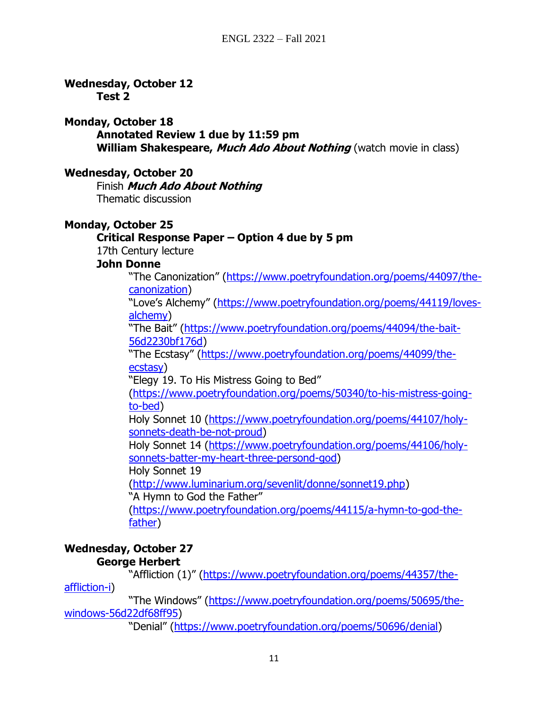**Wednesday, October 12**

**Test 2**

### **Monday, October 18**

**Annotated Review 1 due by 11:59 pm**

**William Shakespeare, Much Ado About Nothing** (watch movie in class)

# **Wednesday, October 20**

Finish **Much Ado About Nothing** Thematic discussion

# **Monday, October 25**

# **Critical Response Paper – Option 4 due by 5 pm**

17th Century lecture

## **John Donne**

"The Canonization" (https://www.poetryfoundation.org/poems/44097/thecanonization)

"Love's Alchemy" (https://www.poetryfoundation.org/poems/44119/lovesalchemy)

"The Bait" (https://www.poetryfoundation.org/poems/44094/the-bait-56d2230bf176d)

"The Ecstasy" (https://www.poetryfoundation.org/poems/44099/theecstasy)

"Elegy 19. To His Mistress Going to Bed"

(https://www.poetryfoundation.org/poems/50340/to-his-mistress-goingto-bed)

Holy Sonnet 10 (https://www.poetryfoundation.org/poems/44107/holysonnets-death-be-not-proud)

Holy Sonnet 14 (https://www.poetryfoundation.org/poems/44106/holysonnets-batter-my-heart-three-persond-god)

Holy Sonnet 19

(http://www.luminarium.org/sevenlit/donne/sonnet19.php)

"A Hymn to God the Father"

(https://www.poetryfoundation.org/poems/44115/a-hymn-to-god-thefather)

# **Wednesday, October 27 George Herbert**

"Affliction (1)" (https://www.poetryfoundation.org/poems/44357/theaffliction-i)

"The Windows" (https://www.poetryfoundation.org/poems/50695/thewindows-56d22df68ff95)

"Denial" (https://www.poetryfoundation.org/poems/50696/denial)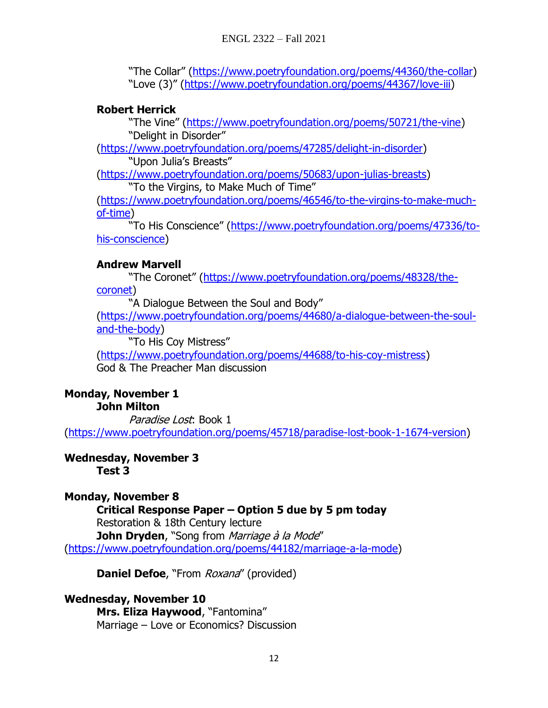"The Collar" (https://www.poetryfoundation.org/poems/44360/the-collar) "Love (3)" (https://www.poetryfoundation.org/poems/44367/love-iii)

# **Robert Herrick**

"The Vine" (https://www.poetryfoundation.org/poems/50721/the-vine) "Delight in Disorder"

(https://www.poetryfoundation.org/poems/47285/delight-in-disorder) "Upon Julia's Breasts"

(https://www.poetryfoundation.org/poems/50683/upon-julias-breasts) "To the Virgins, to Make Much of Time"

(https://www.poetryfoundation.org/poems/46546/to-the-virgins-to-make-muchof-time)

"To His Conscience" (https://www.poetryfoundation.org/poems/47336/tohis-conscience)

# **Andrew Marvell**

"The Coronet" (https://www.poetryfoundation.org/poems/48328/thecoronet)

"A Dialogue Between the Soul and Body"

(https://www.poetryfoundation.org/poems/44680/a-dialogue-between-the-souland-the-body)

"To His Coy Mistress"

(https://www.poetryfoundation.org/poems/44688/to-his-coy-mistress) God & The Preacher Man discussion

#### **Monday, November 1 John Milton**

Paradise Lost: Book 1 (https://www.poetryfoundation.org/poems/45718/paradise-lost-book-1-1674-version)

# **Wednesday, November 3**

**Test 3**

**Monday, November 8 Critical Response Paper – Option 5 due by 5 pm today** Restoration & 18th Century lecture **John Dryden**, "Song from *Marriage à la Mode"* (https://www.poetryfoundation.org/poems/44182/marriage-a-la-mode)

**Daniel Defoe, "From Roxana" (provided)** 

**Wednesday, November 10 Mrs. Eliza Haywood**, "Fantomina" Marriage – Love or Economics? Discussion